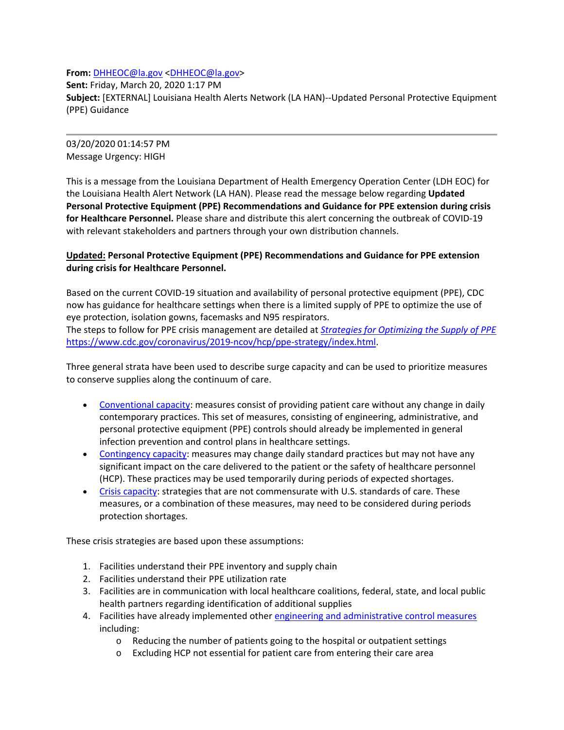**From:** DHHEOC@la.gov <DHHEOC@la.gov>

**Sent:** Friday, March 20, 2020 1:17 PM **Subject:** [EXTERNAL] Louisiana Health Alerts Network (LA HAN)‐‐Updated Personal Protective Equipment (PPE) Guidance

03/20/2020 01:14:57 PM Message Urgency: HIGH

This is a message from the Louisiana Department of Health Emergency Operation Center (LDH EOC) for the Louisiana Health Alert Network (LA HAN). Please read the message below regarding **Updated Personal Protective Equipment (PPE) Recommendations and Guidance for PPE extension during crisis for Healthcare Personnel.** Please share and distribute this alert concerning the outbreak of COVID‐19 with relevant stakeholders and partners through your own distribution channels.

## **Updated: Personal Protective Equipment (PPE) Recommendations and Guidance for PPE extension during crisis for Healthcare Personnel.**

Based on the current COVID‐19 situation and availability of personal protective equipment (PPE), CDC now has guidance for healthcare settings when there is a limited supply of PPE to optimize the use of eye protection, isolation gowns, facemasks and N95 respirators.

The steps to follow for PPE crisis management are detailed at *Strategies for Optimizing the Supply of PPE* https://www.cdc.gov/coronavirus/2019‐ncov/hcp/ppe‐strategy/index.html.

Three general strata have been used to describe surge capacity and can be used to prioritize measures to conserve supplies along the continuum of care.

- Conventional capacity: measures consist of providing patient care without any change in daily contemporary practices. This set of measures, consisting of engineering, administrative, and personal protective equipment (PPE) controls should already be implemented in general infection prevention and control plans in healthcare settings.
- Contingency capacity: measures may change daily standard practices but may not have any significant impact on the care delivered to the patient or the safety of healthcare personnel (HCP). These practices may be used temporarily during periods of expected shortages.
- Crisis capacity: strategies that are not commensurate with U.S. standards of care. These measures, or a combination of these measures, may need to be considered during periods protection shortages.

These crisis strategies are based upon these assumptions:

- 1. Facilities understand their PPE inventory and supply chain
- 2. Facilities understand their PPE utilization rate
- 3. Facilities are in communication with local healthcare coalitions, federal, state, and local public health partners regarding identification of additional supplies
- 4. Facilities have already implemented other engineering and administrative control measures including:
	- o Reducing the number of patients going to the hospital or outpatient settings
	- o Excluding HCP not essential for patient care from entering their care area